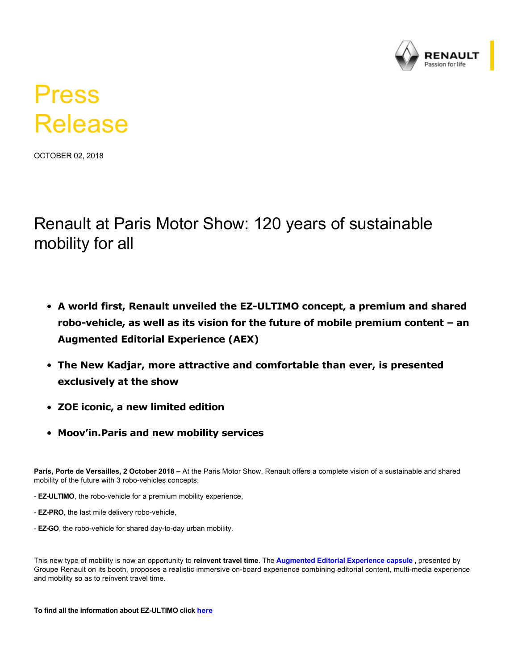

# Press Release

OCTOBER 02, 2018

Renault at Paris Motor Show: 120 years of sustainable mobility for all

- A world first, Renault unveiled the EZ-ULTIMO concept, a premium and shared robo-vehicle, as well as its vision for the future of mobile premium content - an **Augmented Editorial Experience (AEX)**
- **The New Kadjar, more attractive and comfortable than ever, is presented exclusively at the show**
- **ZOE iconic, a new limited edition**
- **Moov'in.Paris and new mobility services**

**Paris, Porte de Versailles, 2 October 2018 –** At the Paris Motor Show, Renault offers a complete vision of a sustainable and shared mobility of the future with 3 robo-vehicles concepts:

- **EZ-ULTIMO**, the robo-vehicle for a premium mobility experience,
- **EZ-PRO**, the last mile delivery robo-vehicle,
- **EZ-GO**, the robo-vehicle for shared day-to-day urban mobility.

This new type of mobility is now an opportunity to **reinvent travel time**. The **[Augmented Editorial Experience capsule](https://media.group.renault.com/global/en-gb/groupe-renault/media/pressreleases/21216622/le-groupe-renault-annonce-de-nouveaux-vehicules-electriques-abordables-et-partage-sa-vision-des-nouv) ,** presented by Groupe Renault on its booth, proposes a realistic immersive on-board experience combining editorial content, multi-media experience and mobility so as to reinvent travel time.

#### To find all the information about EZ-ULTIMO click [here](https://media.group.renault.com/global/en-gb/renault/media/pressreleases/21216623/renault-ez-ultimo-un-robot-vehicule-qui-ouvre-la-voie-a-un-service-de-mobilite-haut-de-gamme)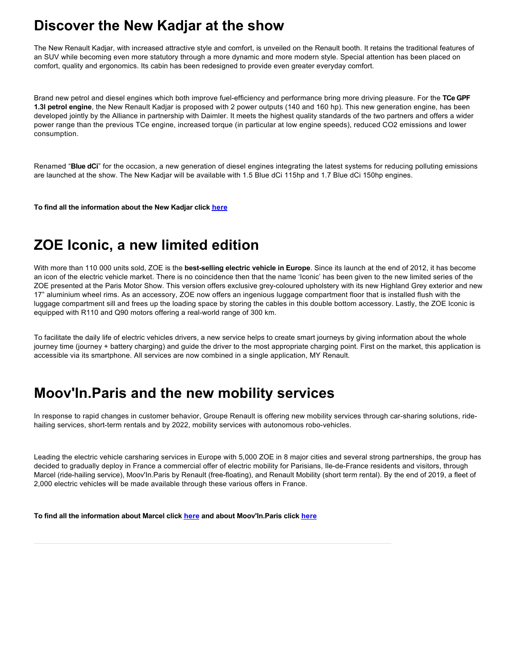## **Discover the New Kadjar at the show**

The New Renault Kadjar, with increased attractive style and comfort, is unveiled on the Renault booth. It retains the traditional features of an SUV while becoming even more statutory through a more dynamic and more modern style. Special attention has been placed on comfort, quality and ergonomics. Its cabin has been redesigned to provide even greater everyday comfort.

Brand new petrol and diesel engines which both improve fuelefficiency and performance bring more driving pleasure. For the **TCe GPF 1.3l petrol engine**, the New Renault Kadjar is proposed with 2 power outputs (140 and 160 hp). This new generation engine, has been developed jointly by the Alliance in partnership with Daimler. It meets the highest quality standards of the two partners and offers a wider power range than the previous TCe engine, increased torque (in particular at low engine speeds), reduced CO2 emissions and lower consumption.

Renamed "**Blue dCi**" for the occasion, a new generation of diesel engines integrating the latest systems for reducing polluting emissions are launched at the show. The New Kadjar will be available with 1.5 Blue dCi 115hp and 1.7 Blue dCi 150hp engines.

**To find all the information about the New Kadjar click [here](https://media.group.renault.com/global/en-gb/renault/media/presspacks/21215337/nouveau-kadjar-toujours-plus-attractif-et-confortable)**

# **ZOE Iconic, a new limited edition**

With more than 110 000 units sold, ZOE is the **bestselling electric vehicle in Europe**. Since its launch at the end of 2012, it has become an icon of the electric vehicle market. There is no coincidence then that the name 'Iconic' has been given to the new limited series of the ZOE presented at the Paris Motor Show. This version offers exclusive greycoloured upholstery with its new Highland Grey exterior and new 17" aluminium wheel rims. As an accessory, ZOE now offers an ingenious luggage compartment floor that is installed flush with the luggage compartment sill and frees up the loading space by storing the cables in this double bottom accessory. Lastly, the ZOE Iconic is equipped with R110 and Q90 motors offering a realworld range of 300 km.

To facilitate the daily life of electric vehicles drivers, a new service helps to create smart journeys by giving information about the whole journey time (journey + battery charging) and guide the driver to the most appropriate charging point. First on the market, this application is accessible via its smartphone. All services are now combined in a single application, MY Renault.

## **Moov'In.Paris and the new mobility services**

In response to rapid changes in customer behavior, Groupe Renault is offering new mobility services through car-sharing solutions, ridehailing services, short-term rentals and by 2022, mobility services with autonomous robo-vehicles.

Leading the electric vehicle carsharing services in Europe with 5,000 ZOE in 8 major cities and several strong partnerships, the group has decided to gradually deploy in France a commercial offer of electric mobility for Parisians, Ile-de-France residents and visitors, through Marcel (ride-hailing service), Moov'In.Paris by Renault (free-floating), and Renault Mobility (short term rental). By the end of 2019, a fleet of 2,000 electric vehicles will be made available through these various offers in France.

**To find all the information about Marcel click [here](https://www.rcibs.com/en/news/french-start-marcel-announces-launch-ecothe-first-range-chauffeur-driven-vehicles-100-electric) and about Moov'In.Paris click [here](https://media.group.renault.com/global/en-gb/renault/media/pressreleases/21216518/renault-et-ada-lancent-lapplication-moovinparis-by-renault)**